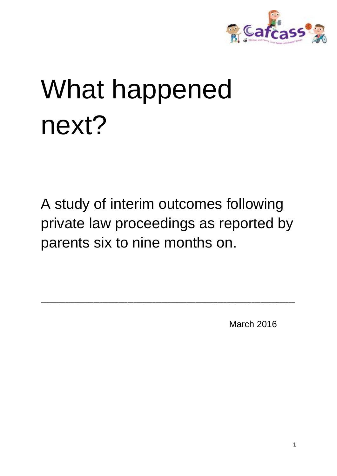

# What happened next?

A study of interim outcomes following private law proceedings as reported by parents six to nine months on.

\_\_\_\_\_\_\_\_\_\_\_\_\_\_\_\_\_\_\_\_\_\_\_\_\_\_\_\_\_\_\_\_\_\_\_\_\_\_\_\_\_\_\_\_\_\_\_\_\_\_\_\_\_\_\_\_\_\_\_\_\_\_\_\_\_\_\_\_\_\_\_\_\_\_\_\_\_\_\_\_\_\_

March 2016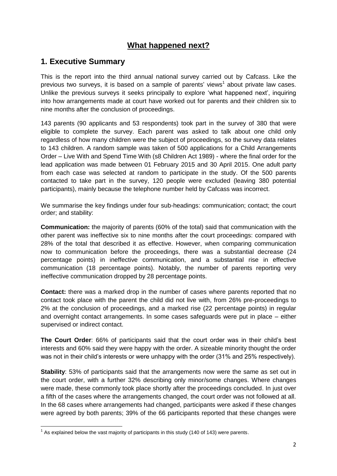# **What happened next?**

# **1. Executive Summary**

This is the report into the third annual national survey carried out by Cafcass. Like the previous two surveys, it is based on a sample of parents' views<sup>1</sup> about private law cases. Unlike the previous surveys it seeks principally to explore 'what happened next', inquiring into how arrangements made at court have worked out for parents and their children six to nine months after the conclusion of proceedings.

143 parents (90 applicants and 53 respondents) took part in the survey of 380 that were eligible to complete the survey. Each parent was asked to talk about one child only regardless of how many children were the subject of proceedings, so the survey data relates to 143 children. A random sample was taken of 500 applications for a Child Arrangements Order – Live With and Spend Time With (s8 Children Act 1989) - where the final order for the lead application was made between 01 February 2015 and 30 April 2015. One adult party from each case was selected at random to participate in the study. Of the 500 parents contacted to take part in the survey, 120 people were excluded (leaving 380 potential participants), mainly because the telephone number held by Cafcass was incorrect.

We summarise the key findings under four sub-headings: communication; contact; the court order; and stability:

**Communication:** the majority of parents (60% of the total) said that communication with the other parent was ineffective six to nine months after the court proceedings: compared with 28% of the total that described it as effective. However, when comparing communication now to communication before the proceedings, there was a substantial decrease (24 percentage points) in ineffective communication, and a substantial rise in effective communication (18 percentage points). Notably, the number of parents reporting very ineffective communication dropped by 28 percentage points.

**Contact:** there was a marked drop in the number of cases where parents reported that no contact took place with the parent the child did not live with, from 26% pre-proceedings to 2% at the conclusion of proceedings, and a marked rise (22 percentage points) in regular and overnight contact arrangements. In some cases safeguards were put in place – either supervised or indirect contact.

**The Court Order**: 66% of participants said that the court order was in their child's best interests and 60% said they were happy with the order. A sizeable minority thought the order was not in their child's interests or were unhappy with the order (31% and 25% respectively).

**Stability**: 53% of participants said that the arrangements now were the same as set out in the court order, with a further 32% describing only minor/some changes. Where changes were made, these commonly took place shortly after the proceedings concluded. In just over a fifth of the cases where the arrangements changed, the court order was not followed at all. In the 68 cases where arrangements had changed, participants were asked if these changes were agreed by both parents; 39% of the 66 participants reported that these changes were

<sup>————————————————————&</sup>lt;br><sup>1</sup> As explained below the vast majority of participants in this study (140 of 143) were parents.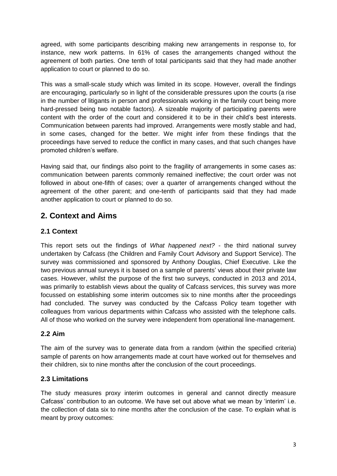agreed, with some participants describing making new arrangements in response to, for instance, new work patterns. In 61% of cases the arrangements changed without the agreement of both parties. One tenth of total participants said that they had made another application to court or planned to do so.

This was a small-scale study which was limited in its scope. However, overall the findings are encouraging, particularly so in light of the considerable pressures upon the courts (a rise in the number of litigants in person and professionals working in the family court being more hard-pressed being two notable factors). A sizeable majority of participating parents were content with the order of the court and considered it to be in their child's best interests. Communication between parents had improved. Arrangements were mostly stable and had, in some cases, changed for the better. We might infer from these findings that the proceedings have served to reduce the conflict in many cases, and that such changes have promoted children's welfare.

Having said that, our findings also point to the fragility of arrangements in some cases as: communication between parents commonly remained ineffective; the court order was not followed in about one-fifth of cases; over a quarter of arrangements changed without the agreement of the other parent; and one-tenth of participants said that they had made another application to court or planned to do so.

# **2. Context and Aims**

# **2.1 Context**

This report sets out the findings of *What happened next?* - the third national survey undertaken by Cafcass (the Children and Family Court Advisory and Support Service). The survey was commissioned and sponsored by Anthony Douglas, Chief Executive. Like the two previous annual surveys it is based on a sample of parents' views about their private law cases. However, whilst the purpose of the first two surveys, conducted in 2013 and 2014, was primarily to establish views about the quality of Cafcass services, this survey was more focussed on establishing some interim outcomes six to nine months after the proceedings had concluded. The survey was conducted by the Cafcass Policy team together with colleagues from various departments within Cafcass who assisted with the telephone calls. All of those who worked on the survey were independent from operational line-management.

# **2.2 Aim**

The aim of the survey was to generate data from a random (within the specified criteria) sample of parents on how arrangements made at court have worked out for themselves and their children, six to nine months after the conclusion of the court proceedings.

# **2.3 Limitations**

The study measures proxy interim outcomes in general and cannot directly measure Cafcass' contribution to an outcome. We have set out above what we mean by 'interim' i.e. the collection of data six to nine months after the conclusion of the case. To explain what is meant by proxy outcomes: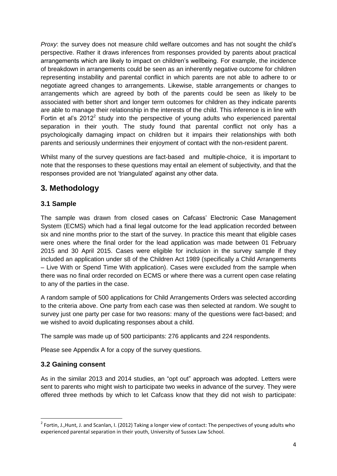*Proxy*: the survey does not measure child welfare outcomes and has not sought the child's perspective. Rather it draws inferences from responses provided by parents about practical arrangements which are likely to impact on children's wellbeing. For example, the incidence of breakdown in arrangements could be seen as an inherently negative outcome for children representing instability and parental conflict in which parents are not able to adhere to or negotiate agreed changes to arrangements. Likewise, stable arrangements or changes to arrangements which are agreed by both of the parents could be seen as likely to be associated with better short and longer term outcomes for children as they indicate parents are able to manage their relationship in the interests of the child. This inference is in line with Fortin et al's 2012<sup>2</sup> study into the perspective of young adults who experienced parental separation in their youth. The study found that parental conflict not only has a psychologically damaging impact on children but it impairs their relationships with both parents and seriously undermines their enjoyment of contact with the non-resident parent.

Whilst many of the survey questions are fact-based and multiple-choice, it is important to note that the responses to these questions may entail an element of subjectivity, and that the responses provided are not 'triangulated' against any other data.

# **3. Methodology**

# **3.1 Sample**

The sample was drawn from closed cases on Cafcass' Electronic Case Management System (ECMS) which had a final legal outcome for the lead application recorded between six and nine months prior to the start of the survey. In practice this meant that eligible cases were ones where the final order for the lead application was made between 01 February 2015 and 30 April 2015. Cases were eligible for inclusion in the survey sample if they included an application under s8 of the Children Act 1989 (specifically a Child Arrangements – Live With or Spend Time With application). Cases were excluded from the sample when there was no final order recorded on ECMS or where there was a current open case relating to any of the parties in the case.

A random sample of 500 applications for Child Arrangements Orders was selected according to the criteria above. One party from each case was then selected at random. We sought to survey just one party per case for two reasons: many of the questions were fact-based; and we wished to avoid duplicating responses about a child.

The sample was made up of 500 participants: 276 applicants and 224 respondents.

Please see Appendix A for a copy of the survey questions.

# **3.2 Gaining consent**

**.** 

As in the similar 2013 and 2014 studies, an "opt out" approach was adopted. Letters were sent to parents who might wish to participate two weeks in advance of the survey. They were offered three methods by which to let Cafcass know that they did not wish to participate:

 $2$  Fortin, J.,Hunt, J. and Scanlan, I. (2012) Taking a longer view of contact: The perspectives of young adults who experienced parental separation in their youth, University of Sussex Law School.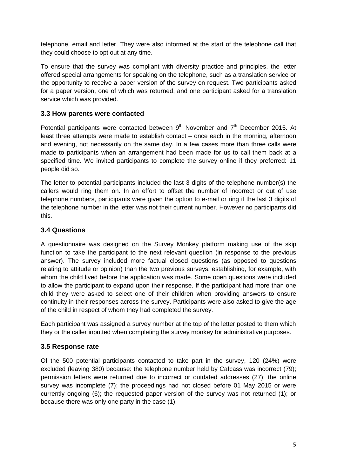telephone, email and letter. They were also informed at the start of the telephone call that they could choose to opt out at any time.

To ensure that the survey was compliant with diversity practice and principles, the letter offered special arrangements for speaking on the telephone, such as a translation service or the opportunity to receive a paper version of the survey on request. Two participants asked for a paper version, one of which was returned, and one participant asked for a translation service which was provided.

## **3.3 How parents were contacted**

Potential participants were contacted between  $9<sup>th</sup>$  November and  $7<sup>th</sup>$  December 2015. At least three attempts were made to establish contact – once each in the morning, afternoon and evening, not necessarily on the same day. In a few cases more than three calls were made to participants when an arrangement had been made for us to call them back at a specified time. We invited participants to complete the survey online if they preferred: 11 people did so.

The letter to potential participants included the last 3 digits of the telephone number(s) the callers would ring them on. In an effort to offset the number of incorrect or out of use telephone numbers, participants were given the option to e-mail or ring if the last 3 digits of the telephone number in the letter was not their current number. However no participants did this.

### **3.4 Questions**

A questionnaire was designed on the Survey Monkey platform making use of the skip function to take the participant to the next relevant question (in response to the previous answer). The survey included more factual closed questions (as opposed to questions relating to attitude or opinion) than the two previous surveys, establishing, for example, with whom the child lived before the application was made. Some open questions were included to allow the participant to expand upon their response. If the participant had more than one child they were asked to select one of their children when providing answers to ensure continuity in their responses across the survey. Participants were also asked to give the age of the child in respect of whom they had completed the survey.

Each participant was assigned a survey number at the top of the letter posted to them which they or the caller inputted when completing the survey monkey for administrative purposes.

#### **3.5 Response rate**

Of the 500 potential participants contacted to take part in the survey, 120 (24%) were excluded (leaving 380) because: the telephone number held by Cafcass was incorrect (79); permission letters were returned due to incorrect or outdated addresses (27); the online survey was incomplete (7); the proceedings had not closed before 01 May 2015 or were currently ongoing (6); the requested paper version of the survey was not returned (1); or because there was only one party in the case (1).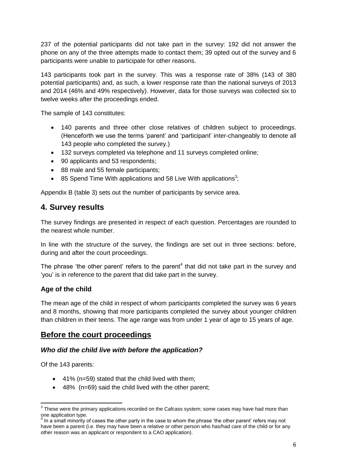237 of the potential participants did not take part in the survey: 192 did not answer the phone on any of the three attempts made to contact them; 39 opted out of the survey and 6 participants were unable to participate for other reasons.

143 participants took part in the survey. This was a response rate of 38% (143 of 380 potential participants) and, as such, a lower response rate than the national surveys of 2013 and 2014 (46% and 49% respectively). However, data for those surveys was collected six to twelve weeks after the proceedings ended.

The sample of 143 constitutes:

- 140 parents and three other close relatives of children subject to proceedings. (Henceforth we use the terms 'parent' and 'participant' inter-changeably to denote all 143 people who completed the survey.)
- 132 surveys completed via telephone and 11 surveys completed online;
- 90 applicants and 53 respondents;
- 88 male and 55 female participants;
- 85 Spend Time With applications and 58 Live With applications<sup>3</sup>;

Appendix B (table 3) sets out the number of participants by service area.

# **4. Survey results**

The survey findings are presented in respect of each question. Percentages are rounded to the nearest whole number.

In line with the structure of the survey, the findings are set out in three sections: before, during and after the court proceedings.

The phrase 'the other parent' refers to the parent<sup>4</sup> that did not take part in the survey and 'you' is in reference to the parent that did take part in the survey.

#### **Age of the child**

The mean age of the child in respect of whom participants completed the survey was 6 years and 8 months, showing that more participants completed the survey about younger children than children in their teens. The age range was from under 1 year of age to 15 years of age.

# **Before the court proceedings**

#### *Who did the child live with before the application?*

Of the 143 parents:

- 41% (n=59) stated that the child lived with them;
- 48% (n=69) said the child lived with the other parent;

 3 These were the primary applications recorded on the Cafcass system; some cases may have had more than one application type. 4 In a small minority of cases the other party in the case to whom the phrase 'the other parent' refers may not

have been a parent (i.e. they may have been a relative or other person who has/had care of the child or for any other reason was an applicant or respondent to a CAO application).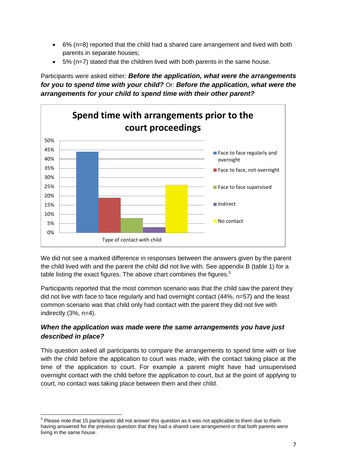- 6% (n=8) reported that the child had a shared care arrangement and lived with both parents in separate houses;
- 5% (n=7) stated that the children lived with both parents in the same house.

Participants were asked either: *Before the application, what were the arrangements for you to spend time with your child?* Or: *Before the application, what were the arrangements for your child to spend time with their other parent?*



We did not see a marked difference in responses between the answers given by the parent the child lived with and the parent the child did not live with. See appendix B (table 1) for a table listing the exact figures. The above chart combines the figures.<sup>5</sup>

Participants reported that the most common scenario was that the child saw the parent they did not live with face to face regularly and had overnight contact (44%, n=57) and the least common scenario was that child only had contact with the parent they did not live with indirectly (3%, n=4).

# *When the application was made were the same arrangements you have just described in place?*

This question asked all participants to compare the arrangements to spend time with or live with the child before the application to court was made, with the contact taking place at the time of the application to court. For example a parent might have had unsupervised overnight contact with the child before the application to court, but at the point of applying to court, no contact was taking place between them and their child.

 5 Please note that 15 participants did not answer this question as it was not applicable to them due to them having answered for the previous question that they had a shared care arrangement or that both parents were living in the same house.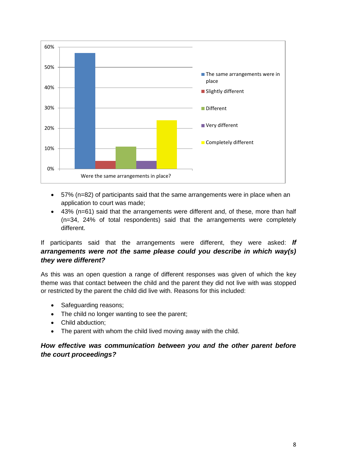

- 57% (n=82) of participants said that the same arrangements were in place when an application to court was made;
- 43% (n=61) said that the arrangements were different and, of these, more than half (n=34, 24% of total respondents) said that the arrangements were completely different.

# If participants said that the arrangements were different, they were asked: *If arrangements were not the same please could you describe in which way(s) they were different?*

As this was an open question a range of different responses was given of which the key theme was that contact between the child and the parent they did not live with was stopped or restricted by the parent the child did live with. Reasons for this included:

- Safeguarding reasons;
- The child no longer wanting to see the parent;
- Child abduction;
- The parent with whom the child lived moving away with the child.

# *How effective was communication between you and the other parent before the court proceedings?*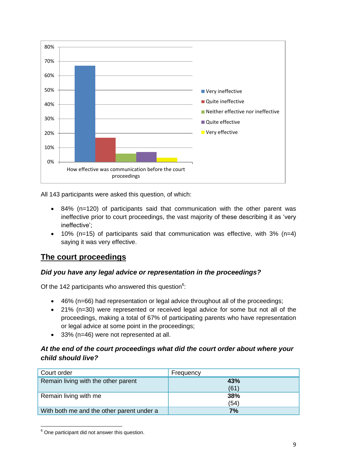

All 143 participants were asked this question, of which:

- 84% (n=120) of participants said that communication with the other parent was ineffective prior to court proceedings, the vast majority of these describing it as 'very ineffective';
- 10% (n=15) of participants said that communication was effective, with 3% (n=4) saying it was very effective.

# **The court proceedings**

#### *Did you have any legal advice or representation in the proceedings?*

Of the 142 participants who answered this question $6$ :

- 46% (n=66) had representation or legal advice throughout all of the proceedings;
- 21% (n=30) were represented or received legal advice for some but not all of the proceedings, making a total of 67% of participating parents who have representation or legal advice at some point in the proceedings;
- 33% (n=46) were not represented at all.

#### *At the end of the court proceedings what did the court order about where your child should live?*

| Court order                               | Frequency   |
|-------------------------------------------|-------------|
| Remain living with the other parent       | 43%<br>(61) |
| Remain living with me                     | 38%<br>(54) |
| With both me and the other parent under a | 7%          |

**<sup>.</sup>**  $6$  One participant did not answer this question.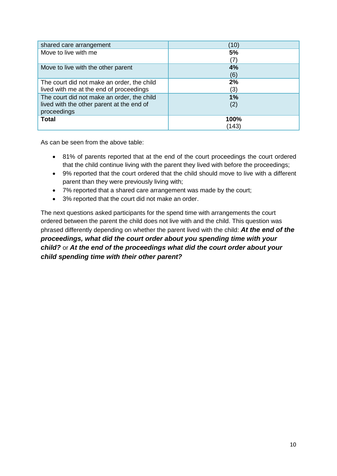| shared care arrangement                    | (10)  |
|--------------------------------------------|-------|
| Move to live with me                       | 5%    |
|                                            | (7)   |
| Move to live with the other parent         | 4%    |
|                                            | (6)   |
| The court did not make an order, the child | 2%    |
| lived with me at the end of proceedings    | (3)   |
| The court did not make an order, the child | 1%    |
| lived with the other parent at the end of  | (2)   |
| proceedings                                |       |
| <b>Total</b>                               | 100%  |
|                                            | (143) |

As can be seen from the above table:

- 81% of parents reported that at the end of the court proceedings the court ordered that the child continue living with the parent they lived with before the proceedings;
- 9% reported that the court ordered that the child should move to live with a different parent than they were previously living with;
- 7% reported that a shared care arrangement was made by the court;
- 3% reported that the court did not make an order.

The next questions asked participants for the spend time with arrangements the court ordered between the parent the child does not live with and the child. This question was phrased differently depending on whether the parent lived with the child: *At the end of the proceedings, what did the court order about you spending time with your child?* or *At the end of the proceedings what did the court order about your child spending time with their other parent?*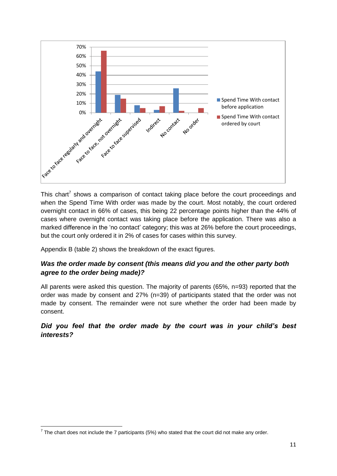

This chart<sup>7</sup> This chart<sup>7</sup> shows a comparison of contact taking place before the court proceedings and when the Spend Time With order was made by the court. Most notably, the court ordered overnight contact in 66% of cases, this being 22 percentage points higher than the 44% of cases where overnight contact was taking place before the application. There was also a marked difference in the 'no contact' category; this was at 26% before the court proceedings, but the court only ordered it in 2% of cases for cases within this survey.

Appendix B (table 2) shows the breakdown of the exact figures.

# *Was the order made by consent (this means did you and the other party both agree to the order being made)?*

All parents were asked this question. The majority of parents (65%, n=93) reported that the order was made by consent and 27% (n=39) of participants stated that the order was not made by consent. The remainder were not sure whether the order had been made by consent.

### *Did you feel that the order made by the court was in your child's best interests?*

 7 The chart does not include the 7 participants (5%) who stated that the court did not make any order.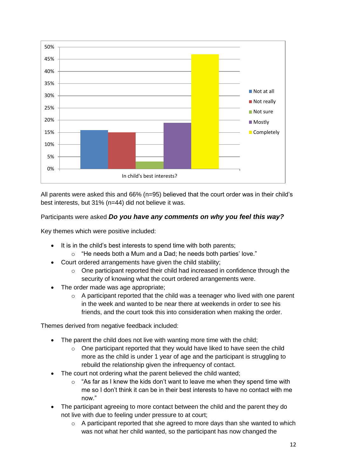

All parents were asked this and 66% (n=95) believed that the court order was in their child's best interests, but 31% (n=44) did not believe it was.

# Participants were asked *Do you have any comments on why you feel this way?*

Key themes which were positive included:

- It is in the child's best interests to spend time with both parents;
	- o "He needs both a Mum and a Dad; he needs both parties' love."
- Court ordered arrangements have given the child stability;
	- $\circ$  One participant reported their child had increased in confidence through the security of knowing what the court ordered arrangements were.
- The order made was age appropriate;
	- $\circ$  A participant reported that the child was a teenager who lived with one parent in the week and wanted to be near there at weekends in order to see his friends, and the court took this into consideration when making the order.

Themes derived from negative feedback included:

- The parent the child does not live with wanting more time with the child;
	- $\circ$  One participant reported that they would have liked to have seen the child more as the child is under 1 year of age and the participant is struggling to rebuild the relationship given the infrequency of contact.
- The court not ordering what the parent believed the child wanted;
	- $\circ$  "As far as I knew the kids don't want to leave me when they spend time with me so I don't think it can be in their best interests to have no contact with me now."
- The participant agreeing to more contact between the child and the parent they do not live with due to feeling under pressure to at court;
	- $\circ$  A participant reported that she agreed to more days than she wanted to which was not what her child wanted, so the participant has now changed the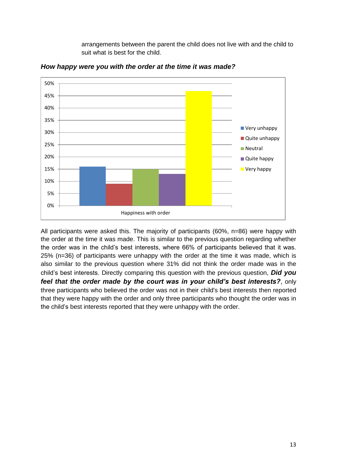arrangements between the parent the child does not live with and the child to suit what is best for the child.



*How happy were you with the order at the time it was made?*

All participants were asked this. The majority of participants (60%, n=86) were happy with the order at the time it was made. This is similar to the previous question regarding whether the order was in the child's best interests, where 66% of participants believed that it was. 25% (n=36) of participants were unhappy with the order at the time it was made, which is also similar to the previous question where 31% did not think the order made was in the child's best interests. Directly comparing this question with the previous question, *Did you feel that the order made by the court was in your child's best interests?*, only three participants who believed the order was not in their child's best interests then reported that they were happy with the order and only three participants who thought the order was in the child's best interests reported that they were unhappy with the order.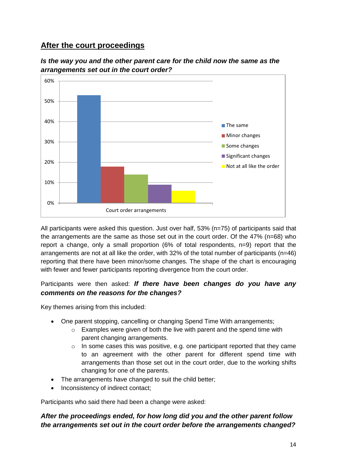# **After the court proceedings**





All participants were asked this question. Just over half, 53% (n=75) of participants said that the arrangements are the same as those set out in the court order. Of the 47% (n=68) who report a change, only a small proportion (6% of total respondents, n=9) report that the arrangements are not at all like the order, with 32% of the total number of participants (n=46) reporting that there have been minor/some changes. The shape of the chart is encouraging with fewer and fewer participants reporting divergence from the court order.

# Participants were then asked: *If there have been changes do you have any comments on the reasons for the changes?*

Key themes arising from this included:

- One parent stopping, cancelling or changing Spend Time With arrangements;
	- o Examples were given of both the live with parent and the spend time with parent changing arrangements.
	- o In some cases this was positive, e.g. one participant reported that they came to an agreement with the other parent for different spend time with arrangements than those set out in the court order, due to the working shifts changing for one of the parents.
- The arrangements have changed to suit the child better;
- Inconsistency of indirect contact;

Participants who said there had been a change were asked:

# *After the proceedings ended, for how long did you and the other parent follow the arrangements set out in the court order before the arrangements changed?*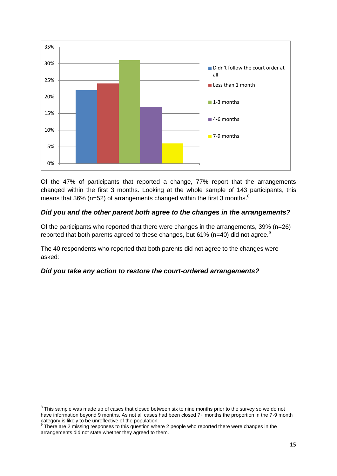

Of the 47% of participants that reported a change, 77% report that the arrangements changed within the first 3 months. Looking at the whole sample of 143 participants, this means that 36% (n=52) of arrangements changed within the first 3 months. $8$ 

# *Did you and the other parent both agree to the changes in the arrangements?*

Of the participants who reported that there were changes in the arrangements, 39% (n=26) reported that both parents agreed to these changes, but 61% ( $n=40$ ) did not agree.<sup>9</sup>

The 40 respondents who reported that both parents did not agree to the changes were asked:

#### *Did you take any action to restore the court-ordered arrangements?*

 8 This sample was made up of cases that closed between six to nine months prior to the survey so we do not have information beyond 9 months. As not all cases had been closed 7+ months the proportion in the 7-9 month category is likely to be unreflective of the population.<br><sup>9</sup> There are 2 missing responses to this question where 2 people who reported there were changes in the

arrangements did not state whether they agreed to them.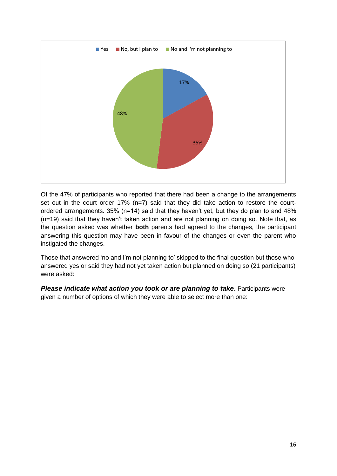

Of the 47% of participants who reported that there had been a change to the arrangements set out in the court order 17% (n=7) said that they did take action to restore the courtordered arrangements. 35% (n=14) said that they haven't yet, but they do plan to and 48% (n=19) said that they haven't taken action and are not planning on doing so. Note that, as the question asked was whether **both** parents had agreed to the changes, the participant answering this question may have been in favour of the changes or even the parent who instigated the changes.

Those that answered 'no and I'm not planning to' skipped to the final question but those who answered yes or said they had not yet taken action but planned on doing so (21 participants) were asked:

*Please indicate what action you took or are planning to take. Participants were* given a number of options of which they were able to select more than one: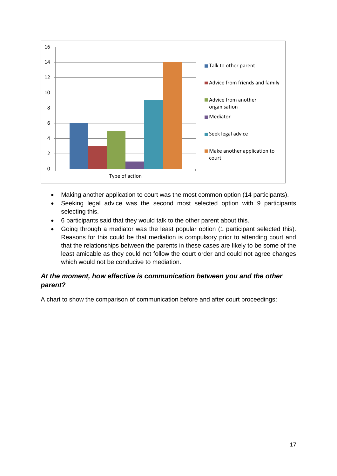

- Making another application to court was the most common option (14 participants).
- Seeking legal advice was the second most selected option with 9 participants selecting this.
- 6 participants said that they would talk to the other parent about this.
- Going through a mediator was the least popular option (1 participant selected this). Reasons for this could be that mediation is compulsory prior to attending court and that the relationships between the parents in these cases are likely to be some of the least amicable as they could not follow the court order and could not agree changes which would not be conducive to mediation.

### *At the moment, how effective is communication between you and the other parent?*

A chart to show the comparison of communication before and after court proceedings: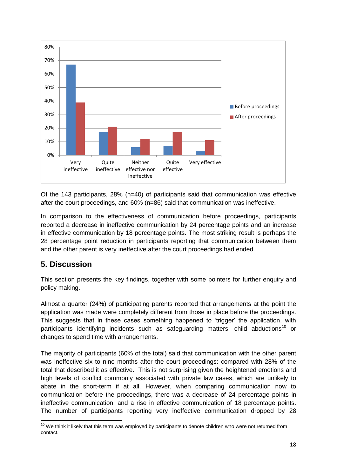

Of the 143 participants, 28% (n=40) of participants said that communication was effective after the court proceedings, and 60% (n=86) said that communication was ineffective.

In comparison to the effectiveness of communication before proceedings, participants reported a decrease in ineffective communication by 24 percentage points and an increase in effective communication by 18 percentage points. The most striking result is perhaps the 28 percentage point reduction in participants reporting that communication between them and the other parent is very ineffective after the court proceedings had ended.

# **5. Discussion**

**.** 

This section presents the key findings, together with some pointers for further enquiry and policy making.

Almost a quarter (24%) of participating parents reported that arrangements at the point the application was made were completely different from those in place before the proceedings. This suggests that in these cases something happened to 'trigger' the application, with participants identifying incidents such as safeguarding matters, child abductions<sup>10</sup> or changes to spend time with arrangements.

The majority of participants (60% of the total) said that communication with the other parent was ineffective six to nine months after the court proceedings: compared with 28% of the total that described it as effective. This is not surprising given the heightened emotions and high levels of conflict commonly associated with private law cases, which are unlikely to abate in the short-term if at all. However, when comparing communication now to communication before the proceedings, there was a decrease of 24 percentage points in ineffective communication, and a rise in effective communication of 18 percentage points. The number of participants reporting very ineffective communication dropped by 28

 $10$  We think it likely that this term was employed by participants to denote children who were not returned from contact.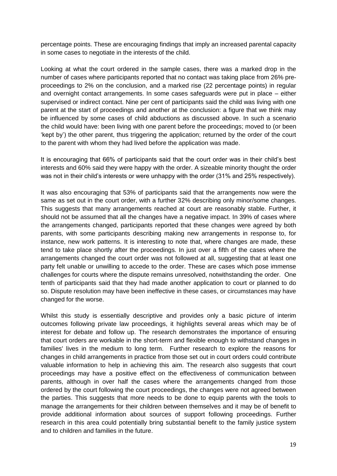percentage points. These are encouraging findings that imply an increased parental capacity in some cases to negotiate in the interests of the child.

Looking at what the court ordered in the sample cases, there was a marked drop in the number of cases where participants reported that no contact was taking place from 26% preproceedings to 2% on the conclusion, and a marked rise (22 percentage points) in regular and overnight contact arrangements. In some cases safeguards were put in place – either supervised or indirect contact. Nine per cent of participants said the child was living with one parent at the start of proceedings and another at the conclusion: a figure that we think may be influenced by some cases of child abductions as discussed above. In such a scenario the child would have: been living with one parent before the proceedings; moved to (or been 'kept by') the other parent, thus triggering the application; returned by the order of the court to the parent with whom they had lived before the application was made.

It is encouraging that 66% of participants said that the court order was in their child's best interests and 60% said they were happy with the order. A sizeable minority thought the order was not in their child's interests or were unhappy with the order (31% and 25% respectively).

It was also encouraging that 53% of participants said that the arrangements now were the same as set out in the court order, with a further 32% describing only minor/some changes. This suggests that many arrangements reached at court are reasonably stable. Further, it should not be assumed that all the changes have a negative impact. In 39% of cases where the arrangements changed, participants reported that these changes were agreed by both parents, with some participants describing making new arrangements in response to, for instance, new work patterns. It is interesting to note that, where changes are made, these tend to take place shortly after the proceedings. In just over a fifth of the cases where the arrangements changed the court order was not followed at all, suggesting that at least one party felt unable or unwilling to accede to the order. These are cases which pose immense challenges for courts where the dispute remains unresolved, notwithstanding the order. One tenth of participants said that they had made another application to court or planned to do so. Dispute resolution may have been ineffective in these cases, or circumstances may have changed for the worse.

Whilst this study is essentially descriptive and provides only a basic picture of interim outcomes following private law proceedings, it highlights several areas which may be of interest for debate and follow up. The research demonstrates the importance of ensuring that court orders are workable in the short-term and flexible enough to withstand changes in families' lives in the medium to long term. Further research to explore the reasons for changes in child arrangements in practice from those set out in court orders could contribute valuable information to help in achieving this aim. The research also suggests that court proceedings may have a positive effect on the effectiveness of communication between parents, although in over half the cases where the arrangements changed from those ordered by the court following the court proceedings, the changes were not agreed between the parties. This suggests that more needs to be done to equip parents with the tools to manage the arrangements for their children between themselves and it may be of benefit to provide additional information about sources of support following proceedings. Further research in this area could potentially bring substantial benefit to the family justice system and to children and families in the future.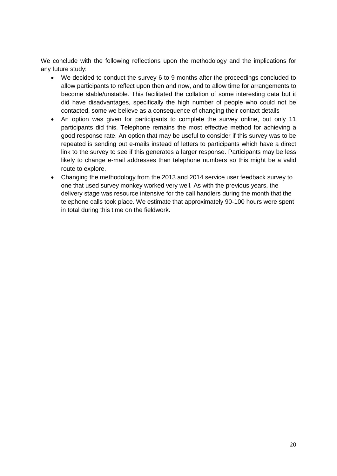We conclude with the following reflections upon the methodology and the implications for any future study:

- We decided to conduct the survey 6 to 9 months after the proceedings concluded to allow participants to reflect upon then and now, and to allow time for arrangements to become stable/unstable. This facilitated the collation of some interesting data but it did have disadvantages, specifically the high number of people who could not be contacted, some we believe as a consequence of changing their contact details
- An option was given for participants to complete the survey online, but only 11 participants did this. Telephone remains the most effective method for achieving a good response rate. An option that may be useful to consider if this survey was to be repeated is sending out e-mails instead of letters to participants which have a direct link to the survey to see if this generates a larger response. Participants may be less likely to change e-mail addresses than telephone numbers so this might be a valid route to explore.
- Changing the methodology from the 2013 and 2014 service user feedback survey to one that used survey monkey worked very well. As with the previous years, the delivery stage was resource intensive for the call handlers during the month that the telephone calls took place. We estimate that approximately 90-100 hours were spent in total during this time on the fieldwork.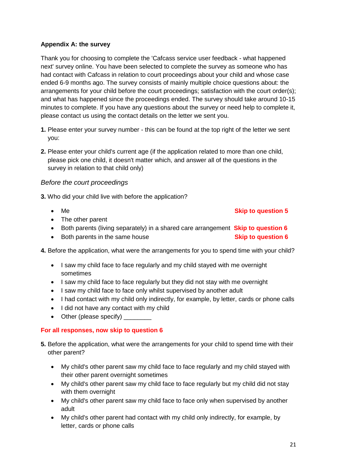#### **Appendix A: the survey**

Thank you for choosing to complete the 'Cafcass service user feedback - what happened next' survey online. You have been selected to complete the survey as someone who has had contact with Cafcass in relation to court proceedings about your child and whose case ended 6-9 months ago. The survey consists of mainly multiple choice questions about: the arrangements for your child before the court proceedings; satisfaction with the court order(s); and what has happened since the proceedings ended. The survey should take around 10-15 minutes to complete. If you have any questions about the survey or need help to complete it, please contact us using the contact details on the letter we sent you.

- **1.** Please enter your survey number this can be found at the top right of the letter we sent you:
- **2.** Please enter your child's current age (if the application related to more than one child, please pick one child, it doesn't matter which, and answer all of the questions in the survey in relation to that child only)

#### *Before the court proceedings*

**3.** Who did your child live with before the application?

#### **Me Me Skip to question 5**

- The other parent
- Both parents (living separately) in a shared care arrangement **Skip to question 6**
- **Both parents in the same house example 3 Skip to question 6**
- **4.** Before the application, what were the arrangements for you to spend time with your child?
	- I saw my child face to face regularly and my child stayed with me overnight sometimes
	- I saw my child face to face regularly but they did not stay with me overnight
	- I saw my child face to face only whilst supervised by another adult
	- I had contact with my child only indirectly, for example, by letter, cards or phone calls
	- I did not have any contact with my child
	- Other (please specify)

#### **For all responses, now skip to question 6**

- **5.** Before the application, what were the arrangements for your child to spend time with their other parent?
	- My child's other parent saw my child face to face regularly and my child stayed with their other parent overnight sometimes
	- My child's other parent saw my child face to face regularly but my child did not stay with them overnight
	- My child's other parent saw my child face to face only when supervised by another adult
	- My child's other parent had contact with my child only indirectly, for example, by letter, cards or phone calls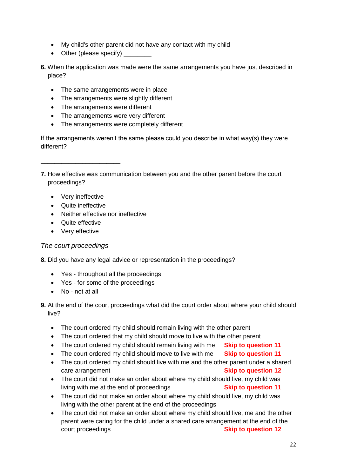- My child's other parent did not have any contact with my child
- Other (please specify)
- **6.** When the application was made were the same arrangements you have just described in place?
	- The same arrangements were in place
	- The arrangements were slightly different
	- The arrangements were different
	- The arrangements were very different
	- The arrangements were completely different

If the arrangements weren't the same please could you describe in what way(s) they were different?

**7.** How effective was communication between you and the other parent before the court proceedings?

• Very ineffective

\_\_\_\_\_\_\_\_\_\_\_\_\_\_\_\_\_\_\_\_\_\_\_

- Quite ineffective
- Neither effective nor ineffective
- Quite effective
- Very effective

#### *The court proceedings*

- **8.** Did you have any legal advice or representation in the proceedings?
	- Yes throughout all the proceedings
	- Yes for some of the proceedings
	- No not at all
- **9.** At the end of the court proceedings what did the court order about where your child should live?
	- The court ordered my child should remain living with the other parent
	- The court ordered that my child should move to live with the other parent
	- The court ordered my child should remain living with me **Skip to question 11**
	- The court ordered my child should move to live with me **Skip to question 11**
	- The court ordered my child should live with me and the other parent under a shared **Care arrangement Care arrangement Skip to question 12**
	- The court did not make an order about where my child should live, my child was living with me at the end of proceedings **Skip to question 11**
	- The court did not make an order about where my child should live, my child was living with the other parent at the end of the proceedings
	- The court did not make an order about where my child should live, me and the other parent were caring for the child under a shared care arrangement at the end of the **Court proceedings Skip to question 12**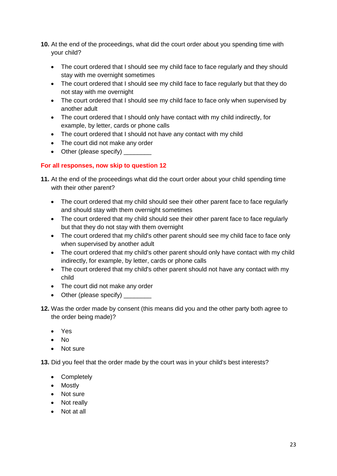- **10.** At the end of the proceedings, what did the court order about you spending time with your child?
	- The court ordered that I should see my child face to face regularly and they should stay with me overnight sometimes
	- The court ordered that I should see my child face to face regularly but that they do not stay with me overnight
	- The court ordered that I should see my child face to face only when supervised by another adult
	- The court ordered that I should only have contact with my child indirectly, for example, by letter, cards or phone calls
	- The court ordered that I should not have any contact with my child
	- The court did not make any order
	- Other (please specify)

### **For all responses, now skip to question 12**

- **11.** At the end of the proceedings what did the court order about your child spending time with their other parent?
	- The court ordered that my child should see their other parent face to face regularly and should stay with them overnight sometimes
	- The court ordered that my child should see their other parent face to face regularly but that they do not stay with them overnight
	- The court ordered that my child's other parent should see my child face to face only when supervised by another adult
	- The court ordered that my child's other parent should only have contact with my child indirectly, for example, by letter, cards or phone calls
	- The court ordered that my child's other parent should not have any contact with my child
	- The court did not make any order
	- Other (please specify)
- **12.** Was the order made by consent (this means did you and the other party both agree to the order being made)?
	- Yes
	- $\bullet$  No
	- Not sure

**13.** Did you feel that the order made by the court was in your child's best interests?

- Completely
- Mostly
- Not sure
- Not really
- Not at all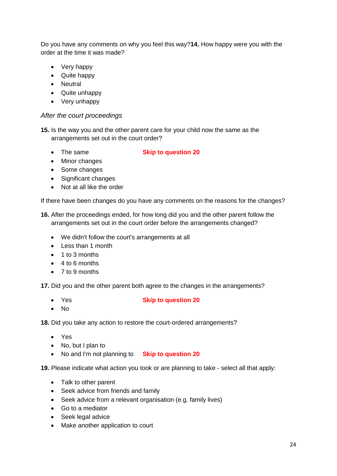Do you have any comments on why you feel this way?**14.** How happy were you with the order at the time it was made?

- Very happy
- Quite happy
- Neutral
- Quite unhappy
- Very unhappy

#### *After the court proceedings*

**15.** Is the way you and the other parent care for your child now the same as the arrangements set out in the court order?

The same **Skip to question 20**

- Minor changes
- Some changes
- Significant changes
- Not at all like the order

If there have been changes do you have any comments on the reasons for the changes?

**16.** After the proceedings ended, for how long did you and the other parent follow the arrangements set out in the court order before the arrangements changed?

- We didn't follow the court's arrangements at all
- Less than 1 month
- 1 to 3 months
- $\bullet$  4 to 6 months
- 7 to 9 months

**17.** Did you and the other parent both agree to the changes in the arrangements?

#### Yes **Skip to question 20**

 $\bullet$  No

**18.** Did you take any action to restore the court-ordered arrangements?

- Yes
- No, but I plan to
- No and I'm not planning to **Skip to question 20**

**19.** Please indicate what action you took or are planning to take - select all that apply:

- Talk to other parent
- Seek advice from friends and family
- Seek advice from a relevant organisation (e.g. family lives)
- Go to a mediator
- Seek legal advice
- Make another application to court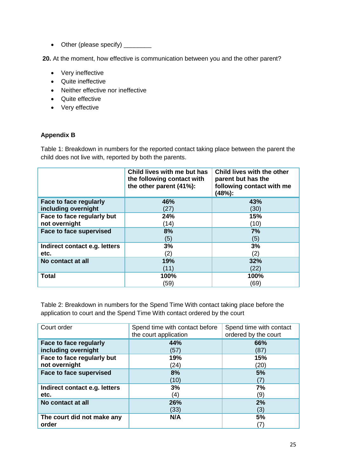• Other (please specify) \_\_\_\_\_\_\_\_

**20.** At the moment, how effective is communication between you and the other parent?

- Very ineffective
- Quite ineffective
- Neither effective nor ineffective
- Quite effective
- Very effective

#### **Appendix B**

Table 1: Breakdown in numbers for the reported contact taking place between the parent the child does not live with, reported by both the parents.

|                                | Child lives with me but has<br>the following contact with<br>the other parent (41%): | Child lives with the other<br>parent but has the<br>following contact with me<br>(48%): |
|--------------------------------|--------------------------------------------------------------------------------------|-----------------------------------------------------------------------------------------|
| Face to face regularly         | 46%                                                                                  | 43%                                                                                     |
| including overnight            | (27)                                                                                 | (30)                                                                                    |
| Face to face regularly but     | 24%                                                                                  | 15%                                                                                     |
| not overnight                  | (14)                                                                                 | (10)                                                                                    |
| <b>Face to face supervised</b> | 8%                                                                                   | 7%                                                                                      |
|                                | (5)                                                                                  | (5)                                                                                     |
| Indirect contact e.g. letters  | 3%                                                                                   | 3%                                                                                      |
| etc.                           | (2)                                                                                  | (2)                                                                                     |
| No contact at all              | 19%                                                                                  | 32%                                                                                     |
|                                | (11)                                                                                 | (22)                                                                                    |
| <b>Total</b>                   | 100%                                                                                 | 100%                                                                                    |
|                                | (59)                                                                                 | (69)                                                                                    |

Table 2: Breakdown in numbers for the Spend Time With contact taking place before the application to court and the Spend Time With contact ordered by the court

| Court order                                   | Spend time with contact before<br>the court application | Spend time with contact<br>ordered by the court |
|-----------------------------------------------|---------------------------------------------------------|-------------------------------------------------|
| Face to face regularly<br>including overnight | 44%<br>(57)                                             | 66%<br>(87)                                     |
| Face to face regularly but<br>not overnight   | 19%<br>(24)                                             | 15%<br>(20)                                     |
| Face to face supervised                       | 8%<br>(10)                                              | 5%<br>7)                                        |
| Indirect contact e.g. letters<br>etc.         | 3%<br>4)                                                | 7%<br>(9)                                       |
| No contact at all                             | 26%<br>(33)                                             | 2%<br>(3)                                       |
| The court did not make any<br>order           | N/A                                                     | 5%<br>7)                                        |